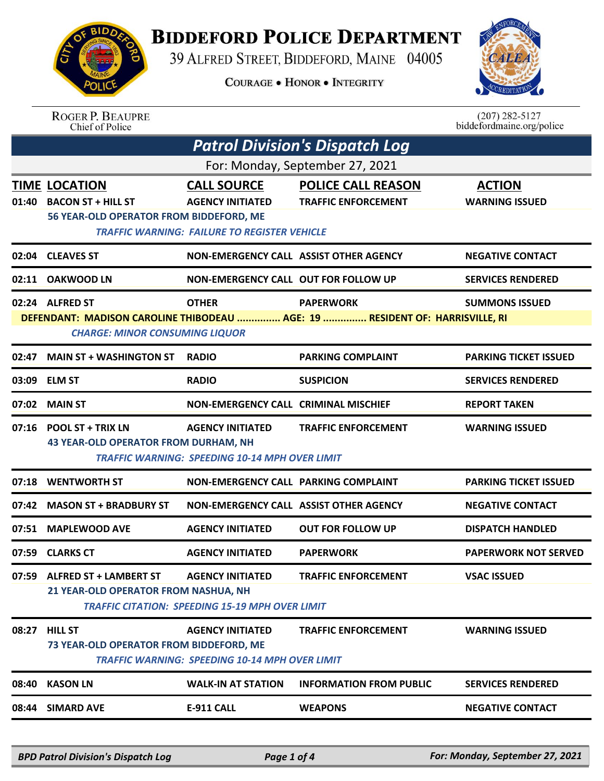

## **BIDDEFORD POLICE DEPARTMENT**

39 ALFRED STREET, BIDDEFORD, MAINE 04005

**COURAGE . HONOR . INTEGRITY** 



|                                                                                                                       | <b>ROGER P. BEAUPRE</b><br><b>Chief of Police</b>                |                                                       |                                                         | $(207) 282 - 5127$<br>biddefordmaine.org/police |  |
|-----------------------------------------------------------------------------------------------------------------------|------------------------------------------------------------------|-------------------------------------------------------|---------------------------------------------------------|-------------------------------------------------|--|
| <b>Patrol Division's Dispatch Log</b>                                                                                 |                                                                  |                                                       |                                                         |                                                 |  |
| For: Monday, September 27, 2021                                                                                       |                                                                  |                                                       |                                                         |                                                 |  |
| 01:40                                                                                                                 | <b>TIME LOCATION</b><br><b>BACON ST + HILL ST</b>                | <b>CALL SOURCE</b><br><b>AGENCY INITIATED</b>         | <b>POLICE CALL REASON</b><br><b>TRAFFIC ENFORCEMENT</b> | <b>ACTION</b><br><b>WARNING ISSUED</b>          |  |
|                                                                                                                       | 56 YEAR-OLD OPERATOR FROM BIDDEFORD, ME                          | <b>TRAFFIC WARNING: FAILURE TO REGISTER VEHICLE</b>   |                                                         |                                                 |  |
| 02:04                                                                                                                 | <b>CLEAVES ST</b>                                                | NON-EMERGENCY CALL ASSIST OTHER AGENCY                |                                                         | <b>NEGATIVE CONTACT</b>                         |  |
| 02:11                                                                                                                 | <b>OAKWOOD LN</b>                                                | <b>NON-EMERGENCY CALL OUT FOR FOLLOW UP</b>           |                                                         | <b>SERVICES RENDERED</b>                        |  |
|                                                                                                                       | 02:24 ALFRED ST                                                  | <b>OTHER</b>                                          | <b>PAPERWORK</b>                                        | <b>SUMMONS ISSUED</b>                           |  |
| DEFENDANT: MADISON CAROLINE THIBODEAU  AGE: 19  RESIDENT OF: HARRISVILLE, RI<br><b>CHARGE: MINOR CONSUMING LIQUOR</b> |                                                                  |                                                       |                                                         |                                                 |  |
| 02:47                                                                                                                 | <b>MAIN ST + WASHINGTON ST</b>                                   | <b>RADIO</b>                                          | <b>PARKING COMPLAINT</b>                                | <b>PARKING TICKET ISSUED</b>                    |  |
| 03:09                                                                                                                 | <b>ELM ST</b>                                                    | <b>RADIO</b>                                          | <b>SUSPICION</b>                                        | <b>SERVICES RENDERED</b>                        |  |
| 07:02                                                                                                                 | <b>MAIN ST</b>                                                   | <b>NON-EMERGENCY CALL CRIMINAL MISCHIEF</b>           |                                                         | <b>REPORT TAKEN</b>                             |  |
| 07:16                                                                                                                 | <b>POOL ST + TRIX LN</b><br>43 YEAR-OLD OPERATOR FROM DURHAM, NH | <b>AGENCY INITIATED</b>                               | <b>TRAFFIC ENFORCEMENT</b>                              | <b>WARNING ISSUED</b>                           |  |
|                                                                                                                       |                                                                  | <b>TRAFFIC WARNING: SPEEDING 10-14 MPH OVER LIMIT</b> |                                                         |                                                 |  |
| 07:18                                                                                                                 | <b>WENTWORTH ST</b>                                              | <b>NON-EMERGENCY CALL PARKING COMPLAINT</b>           |                                                         | <b>PARKING TICKET ISSUED</b>                    |  |
| 07:42                                                                                                                 | <b>MASON ST + BRADBURY ST</b>                                    | NON-EMERGENCY CALL ASSIST OTHER AGENCY                |                                                         | <b>NEGATIVE CONTACT</b>                         |  |
| 07:51                                                                                                                 | <b>MAPLEWOOD AVE</b>                                             | <b>AGENCY INITIATED</b>                               | <b>OUT FOR FOLLOW UP</b>                                | <b>DISPATCH HANDLED</b>                         |  |
|                                                                                                                       | 07:59 CLARKS CT                                                  | <b>AGENCY INITIATED</b>                               | <b>PAPERWORK</b>                                        | <b>PAPERWORK NOT SERVED</b>                     |  |
|                                                                                                                       | 07:59 ALFRED ST + LAMBERT ST                                     | <b>AGENCY INITIATED</b>                               | <b>TRAFFIC ENFORCEMENT</b>                              | <b>VSAC ISSUED</b>                              |  |
| 21 YEAR-OLD OPERATOR FROM NASHUA, NH<br><b>TRAFFIC CITATION: SPEEDING 15-19 MPH OVER LIMIT</b>                        |                                                                  |                                                       |                                                         |                                                 |  |
| 08:27                                                                                                                 | <b>HILL ST</b>                                                   | <b>AGENCY INITIATED</b>                               | <b>TRAFFIC ENFORCEMENT</b>                              | <b>WARNING ISSUED</b>                           |  |
|                                                                                                                       | 73 YEAR-OLD OPERATOR FROM BIDDEFORD, ME                          | <b>TRAFFIC WARNING: SPEEDING 10-14 MPH OVER LIMIT</b> |                                                         |                                                 |  |
| 08:40                                                                                                                 | <b>KASON LN</b>                                                  | <b>WALK-IN AT STATION</b>                             | <b>INFORMATION FROM PUBLIC</b>                          | <b>SERVICES RENDERED</b>                        |  |
| 08:44                                                                                                                 | <b>SIMARD AVE</b>                                                | <b>E-911 CALL</b>                                     | <b>WEAPONS</b>                                          | <b>NEGATIVE CONTACT</b>                         |  |
|                                                                                                                       |                                                                  |                                                       |                                                         |                                                 |  |

*BPD Patrol Division's Dispatch Log Page 1 of 4 For: Monday, September 27, 2021*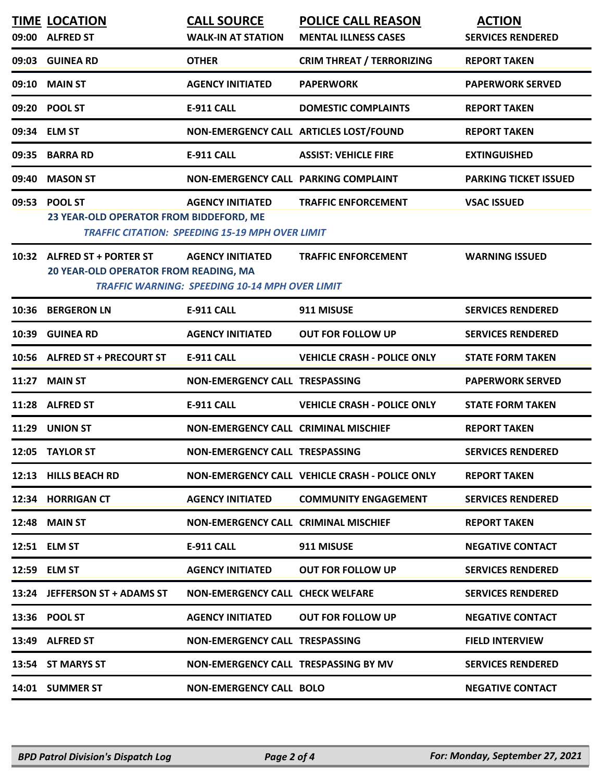| <b>TIME LOCATION</b>                    | <b>CALL SOURCE</b>                                     | <b>POLICE CALL REASON</b>                      | <b>ACTION</b>                |
|-----------------------------------------|--------------------------------------------------------|------------------------------------------------|------------------------------|
| 09:00 ALFRED ST                         | <b>WALK-IN AT STATION</b>                              | <b>MENTAL ILLNESS CASES</b>                    | <b>SERVICES RENDERED</b>     |
| 09:03 GUINEA RD                         | <b>OTHER</b>                                           | <b>CRIM THREAT / TERRORIZING</b>               | <b>REPORT TAKEN</b>          |
| 09:10 MAIN ST                           | <b>AGENCY INITIATED</b>                                | <b>PAPERWORK</b>                               | <b>PAPERWORK SERVED</b>      |
| 09:20 POOL ST                           | E-911 CALL                                             | <b>DOMESTIC COMPLAINTS</b>                     | <b>REPORT TAKEN</b>          |
| 09:34 ELM ST                            | NON-EMERGENCY CALL ARTICLES LOST/FOUND                 |                                                | <b>REPORT TAKEN</b>          |
| 09:35 BARRA RD                          | E-911 CALL                                             | <b>ASSIST: VEHICLE FIRE</b>                    | <b>EXTINGUISHED</b>          |
| 09:40 MASON ST                          | NON-EMERGENCY CALL PARKING COMPLAINT                   |                                                | <b>PARKING TICKET ISSUED</b> |
| 09:53 POOL ST                           | <b>AGENCY INITIATED</b>                                | <b>TRAFFIC ENFORCEMENT</b>                     | <b>VSAC ISSUED</b>           |
| 23 YEAR-OLD OPERATOR FROM BIDDEFORD, ME | <b>TRAFFIC CITATION: SPEEDING 15-19 MPH OVER LIMIT</b> |                                                |                              |
| 10:32 ALFRED ST + PORTER ST             | <b>AGENCY INITIATED</b>                                | <b>TRAFFIC ENFORCEMENT</b>                     | <b>WARNING ISSUED</b>        |
| 20 YEAR-OLD OPERATOR FROM READING, MA   | <b>TRAFFIC WARNING: SPEEDING 10-14 MPH OVER LIMIT</b>  |                                                |                              |
| 10:36 BERGERON LN                       | <b>E-911 CALL</b>                                      | 911 MISUSE                                     | <b>SERVICES RENDERED</b>     |
| 10:39 GUINEA RD                         | <b>AGENCY INITIATED</b>                                | <b>OUT FOR FOLLOW UP</b>                       | <b>SERVICES RENDERED</b>     |
| 10:56 ALFRED ST + PRECOURT ST           | <b>E-911 CALL</b>                                      | <b>VEHICLE CRASH - POLICE ONLY</b>             | <b>STATE FORM TAKEN</b>      |
| 11:27 MAIN ST                           | NON-EMERGENCY CALL TRESPASSING                         |                                                | <b>PAPERWORK SERVED</b>      |
| 11:28 ALFRED ST                         | E-911 CALL                                             | <b>VEHICLE CRASH - POLICE ONLY</b>             | <b>STATE FORM TAKEN</b>      |
| 11:29 UNION ST                          | NON-EMERGENCY CALL CRIMINAL MISCHIEF                   |                                                | <b>REPORT TAKEN</b>          |
| 12:05 TAYLOR ST                         | NON-EMERGENCY CALL TRESPASSING                         |                                                | <b>SERVICES RENDERED</b>     |
| 12:13 HILLS BEACH RD                    |                                                        | NON-EMERGENCY CALL VEHICLE CRASH - POLICE ONLY | <b>REPORT TAKEN</b>          |
| 12:34 HORRIGAN CT                       | <b>AGENCY INITIATED</b>                                | <b>COMMUNITY ENGAGEMENT</b>                    | <b>SERVICES RENDERED</b>     |
| <b>12:48 MAIN ST</b>                    | <b>NON-EMERGENCY CALL CRIMINAL MISCHIEF</b>            |                                                | <b>REPORT TAKEN</b>          |
| 12:51 ELM ST                            | E-911 CALL                                             | 911 MISUSE                                     | <b>NEGATIVE CONTACT</b>      |
| 12:59 ELM ST                            | <b>AGENCY INITIATED</b>                                | <b>OUT FOR FOLLOW UP</b>                       | <b>SERVICES RENDERED</b>     |
| 13:24 JEFFERSON ST + ADAMS ST           | NON-EMERGENCY CALL CHECK WELFARE                       |                                                | <b>SERVICES RENDERED</b>     |
| 13:36 POOL ST                           | AGENCY INITIATED OUT FOR FOLLOW UP                     |                                                | <b>NEGATIVE CONTACT</b>      |
| 13:49 ALFRED ST                         | NON-EMERGENCY CALL TRESPASSING                         |                                                | <b>FIELD INTERVIEW</b>       |
| 13:54 ST MARYS ST                       | NON-EMERGENCY CALL TRESPASSING BY MV                   |                                                | <b>SERVICES RENDERED</b>     |
| 14:01 SUMMER ST                         | <b>NON-EMERGENCY CALL BOLO</b>                         |                                                | <b>NEGATIVE CONTACT</b>      |
|                                         |                                                        |                                                |                              |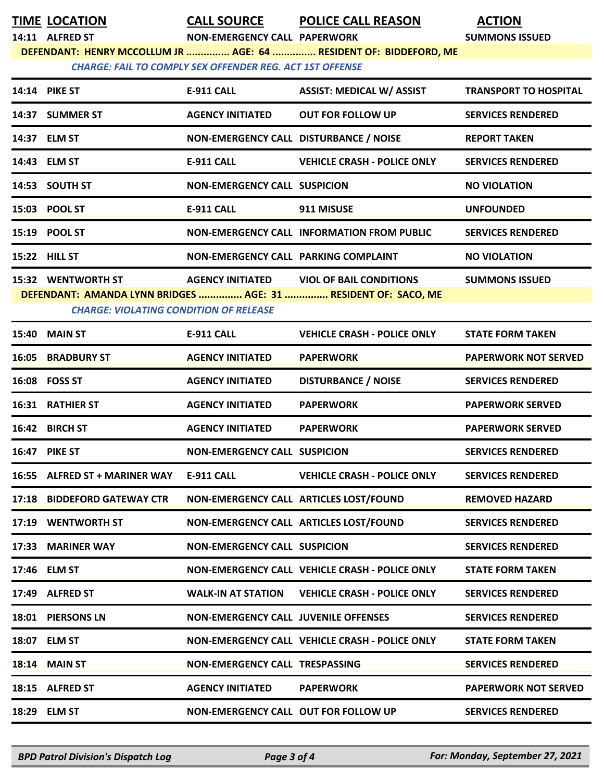|                                                                                                                                      | <b>TIME LOCATION</b>                          |                                             | <b>CALL SOURCE POLICE CALL REASON</b>                          | <b>ACTION</b>                |  |
|--------------------------------------------------------------------------------------------------------------------------------------|-----------------------------------------------|---------------------------------------------|----------------------------------------------------------------|------------------------------|--|
|                                                                                                                                      | 14:11 ALFRED ST                               | <b>NON-EMERGENCY CALL PAPERWORK</b>         |                                                                | <b>SUMMONS ISSUED</b>        |  |
| DEFENDANT: HENRY MCCOLLUM JR  AGE: 64  RESIDENT OF: BIDDEFORD, ME<br><b>CHARGE: FAIL TO COMPLY SEX OFFENDER REG. ACT 1ST OFFENSE</b> |                                               |                                             |                                                                |                              |  |
|                                                                                                                                      |                                               |                                             |                                                                |                              |  |
|                                                                                                                                      | 14:14 PIKE ST                                 | E-911 CALL                                  | <b>ASSIST: MEDICAL W/ ASSIST</b>                               | <b>TRANSPORT TO HOSPITAL</b> |  |
|                                                                                                                                      | 14:37 SUMMER ST                               | <b>AGENCY INITIATED</b>                     | <b>OUT FOR FOLLOW UP</b>                                       | <b>SERVICES RENDERED</b>     |  |
|                                                                                                                                      | 14:37 ELM ST                                  | NON-EMERGENCY CALL DISTURBANCE / NOISE      |                                                                | <b>REPORT TAKEN</b>          |  |
|                                                                                                                                      | 14:43 ELM ST                                  | <b>E-911 CALL</b>                           | <b>VEHICLE CRASH - POLICE ONLY</b>                             | <b>SERVICES RENDERED</b>     |  |
|                                                                                                                                      | 14:53 SOUTH ST                                | <b>NON-EMERGENCY CALL SUSPICION</b>         |                                                                | <b>NO VIOLATION</b>          |  |
|                                                                                                                                      | 15:03 POOL ST                                 | E-911 CALL                                  | 911 MISUSE                                                     | <b>UNFOUNDED</b>             |  |
|                                                                                                                                      | 15:19 POOL ST                                 |                                             | NON-EMERGENCY CALL INFORMATION FROM PUBLIC                     | <b>SERVICES RENDERED</b>     |  |
|                                                                                                                                      | <b>15:22 HILL ST</b>                          | NON-EMERGENCY CALL PARKING COMPLAINT        |                                                                | <b>NO VIOLATION</b>          |  |
|                                                                                                                                      | <b>15:32 WENTWORTH ST</b>                     |                                             | AGENCY INITIATED VIOL OF BAIL CONDITIONS                       | <b>SUMMONS ISSUED</b>        |  |
|                                                                                                                                      | <b>CHARGE: VIOLATING CONDITION OF RELEASE</b> |                                             | DEFENDANT: AMANDA LYNN BRIDGES  AGE: 31  RESIDENT OF: SACO, ME |                              |  |
|                                                                                                                                      |                                               |                                             |                                                                |                              |  |
|                                                                                                                                      | <b>15:40 MAIN ST</b>                          | <b>E-911 CALL</b>                           | <b>VEHICLE CRASH - POLICE ONLY</b>                             | <b>STATE FORM TAKEN</b>      |  |
|                                                                                                                                      | <b>16:05 BRADBURY ST</b>                      | <b>AGENCY INITIATED</b>                     | <b>PAPERWORK</b>                                               | <b>PAPERWORK NOT SERVED</b>  |  |
|                                                                                                                                      | 16:08 FOSS ST                                 | <b>AGENCY INITIATED</b>                     | <b>DISTURBANCE / NOISE</b>                                     | <b>SERVICES RENDERED</b>     |  |
|                                                                                                                                      | <b>16:31 RATHIER ST</b>                       | <b>AGENCY INITIATED</b>                     | <b>PAPERWORK</b>                                               | <b>PAPERWORK SERVED</b>      |  |
|                                                                                                                                      | 16:42 BIRCH ST                                | <b>AGENCY INITIATED</b>                     | <b>PAPERWORK</b>                                               | <b>PAPERWORK SERVED</b>      |  |
|                                                                                                                                      | 16:47 PIKE ST                                 | <b>NON-EMERGENCY CALL SUSPICION</b>         |                                                                | <b>SERVICES RENDERED</b>     |  |
|                                                                                                                                      | 16:55 ALFRED ST + MARINER WAY                 | E-911 CALL                                  | <b>VEHICLE CRASH - POLICE ONLY</b>                             | <b>SERVICES RENDERED</b>     |  |
|                                                                                                                                      | 17:18 BIDDEFORD GATEWAY CTR                   |                                             | NON-EMERGENCY CALL ARTICLES LOST/FOUND                         | <b>REMOVED HAZARD</b>        |  |
|                                                                                                                                      | 17:19 WENTWORTH ST                            |                                             | NON-EMERGENCY CALL ARTICLES LOST/FOUND                         | <b>SERVICES RENDERED</b>     |  |
|                                                                                                                                      | 17:33 MARINER WAY                             | <b>NON-EMERGENCY CALL SUSPICION</b>         |                                                                | <b>SERVICES RENDERED</b>     |  |
|                                                                                                                                      | 17:46 ELM ST                                  |                                             | NON-EMERGENCY CALL VEHICLE CRASH - POLICE ONLY                 | <b>STATE FORM TAKEN</b>      |  |
|                                                                                                                                      | 17:49 ALFRED ST                               | <b>WALK-IN AT STATION</b>                   | <b>VEHICLE CRASH - POLICE ONLY</b>                             | <b>SERVICES RENDERED</b>     |  |
|                                                                                                                                      | 18:01 PIERSONS LN                             | <b>NON-EMERGENCY CALL JUVENILE OFFENSES</b> |                                                                | <b>SERVICES RENDERED</b>     |  |
|                                                                                                                                      | 18:07 ELM ST                                  |                                             | NON-EMERGENCY CALL VEHICLE CRASH - POLICE ONLY                 | <b>STATE FORM TAKEN</b>      |  |
| 18:14                                                                                                                                | <b>MAIN ST</b>                                | NON-EMERGENCY CALL TRESPASSING              |                                                                | <b>SERVICES RENDERED</b>     |  |
|                                                                                                                                      | 18:15 ALFRED ST                               | <b>AGENCY INITIATED</b>                     | <b>PAPERWORK</b>                                               | <b>PAPERWORK NOT SERVED</b>  |  |
| 18:29                                                                                                                                | <b>ELM ST</b>                                 | NON-EMERGENCY CALL OUT FOR FOLLOW UP        |                                                                | <b>SERVICES RENDERED</b>     |  |